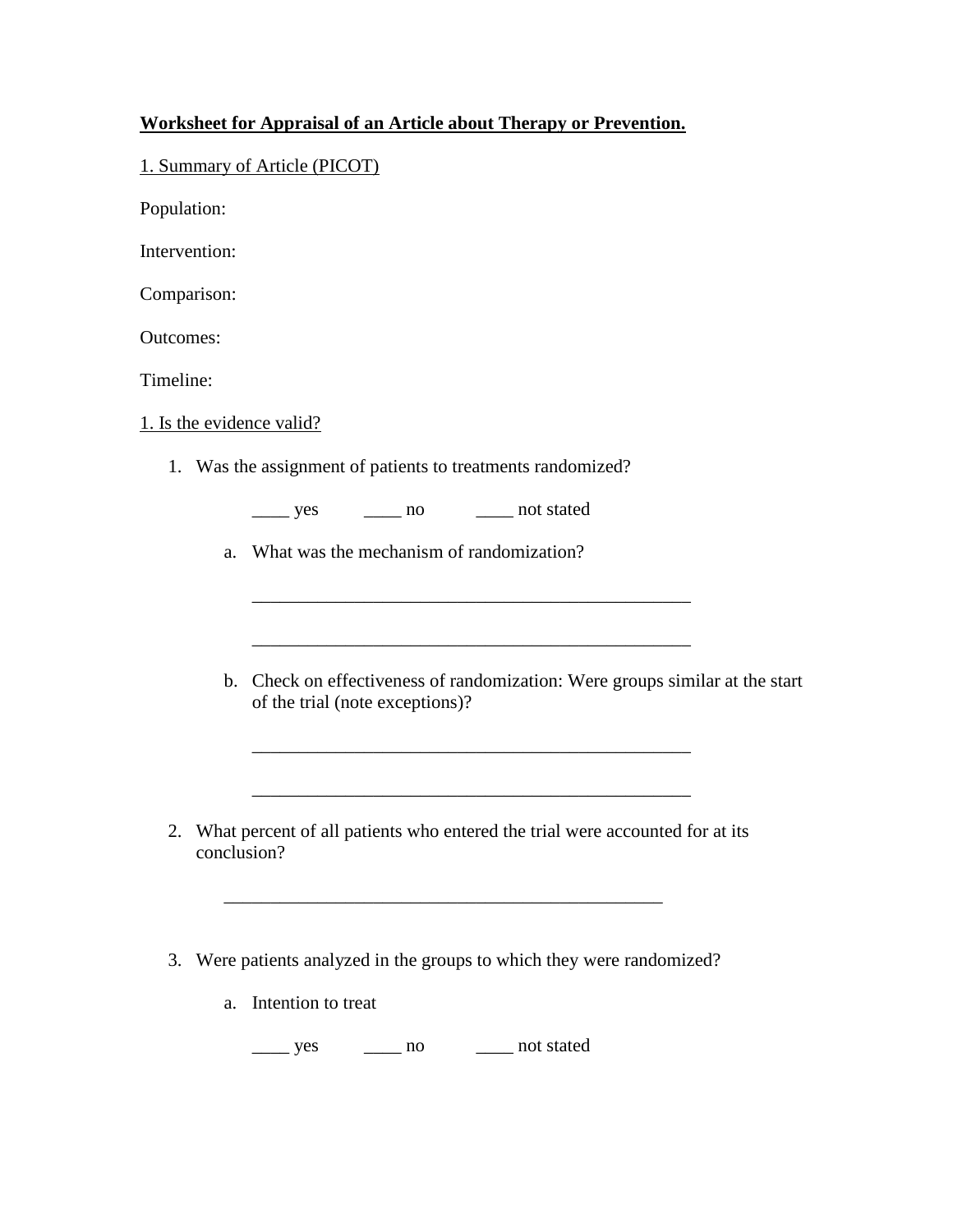## **Worksheet for Appraisal of an Article about Therapy or Prevention.**

## 1. Summary of Article (PICOT)

Population:

Intervention:

Comparison:

Outcomes:

Timeline:

1. Is the evidence valid?

1. Was the assignment of patients to treatments randomized?

\_\_\_\_ yes \_\_\_\_ no \_\_\_\_ not stated

a. What was the mechanism of randomization?

b. Check on effectiveness of randomization: Were groups similar at the start of the trial (note exceptions)?

\_\_\_\_\_\_\_\_\_\_\_\_\_\_\_\_\_\_\_\_\_\_\_\_\_\_\_\_\_\_\_\_\_\_\_\_\_\_\_\_\_\_\_\_\_\_\_

\_\_\_\_\_\_\_\_\_\_\_\_\_\_\_\_\_\_\_\_\_\_\_\_\_\_\_\_\_\_\_\_\_\_\_\_\_\_\_\_\_\_\_\_\_\_\_

2. What percent of all patients who entered the trial were accounted for at its conclusion?

\_\_\_\_\_\_\_\_\_\_\_\_\_\_\_\_\_\_\_\_\_\_\_\_\_\_\_\_\_\_\_\_\_\_\_\_\_\_\_\_\_\_\_\_\_\_\_

3. Were patients analyzed in the groups to which they were randomized?

\_\_\_\_\_\_\_\_\_\_\_\_\_\_\_\_\_\_\_\_\_\_\_\_\_\_\_\_\_\_\_\_\_\_\_\_\_\_\_\_\_\_\_\_\_\_\_

a. Intention to treat

\_\_\_\_ yes \_\_\_\_ no \_\_\_\_ not stated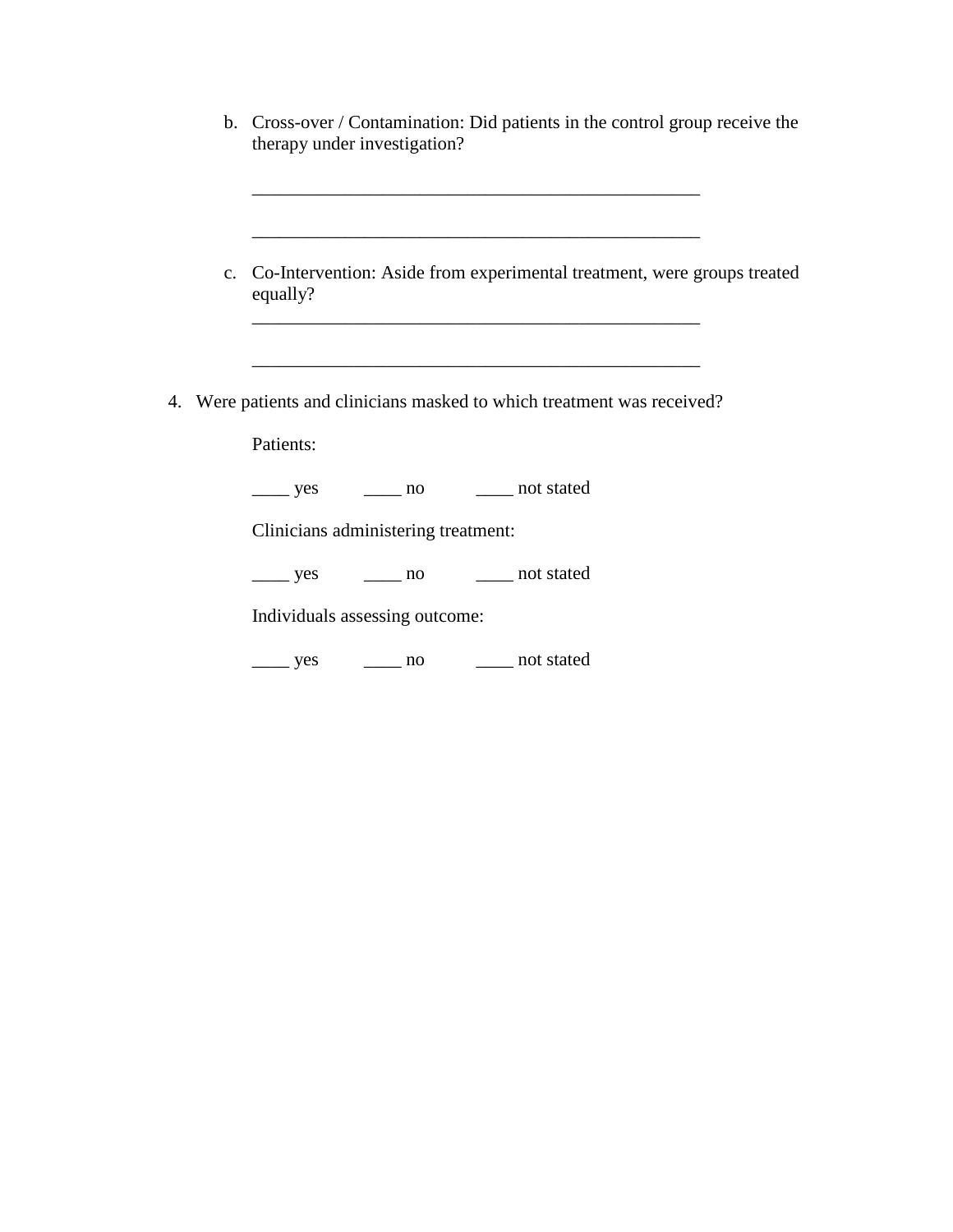| b. Cross-over / Contamination: Did patients in the control group receive the<br>therapy under investigation? |
|--------------------------------------------------------------------------------------------------------------|
| c. Co-Intervention: Aside from experimental treatment, were groups treated<br>equally?                       |
| 4. Were patients and clinicians masked to which treatment was received?<br>Patients:                         |
| _______ yes _________ no __________ not stated                                                               |
| Clinicians administering treatment:                                                                          |
| Individuals assessing outcome:                                                                               |
| ______ yes ________ no ________ not stated                                                                   |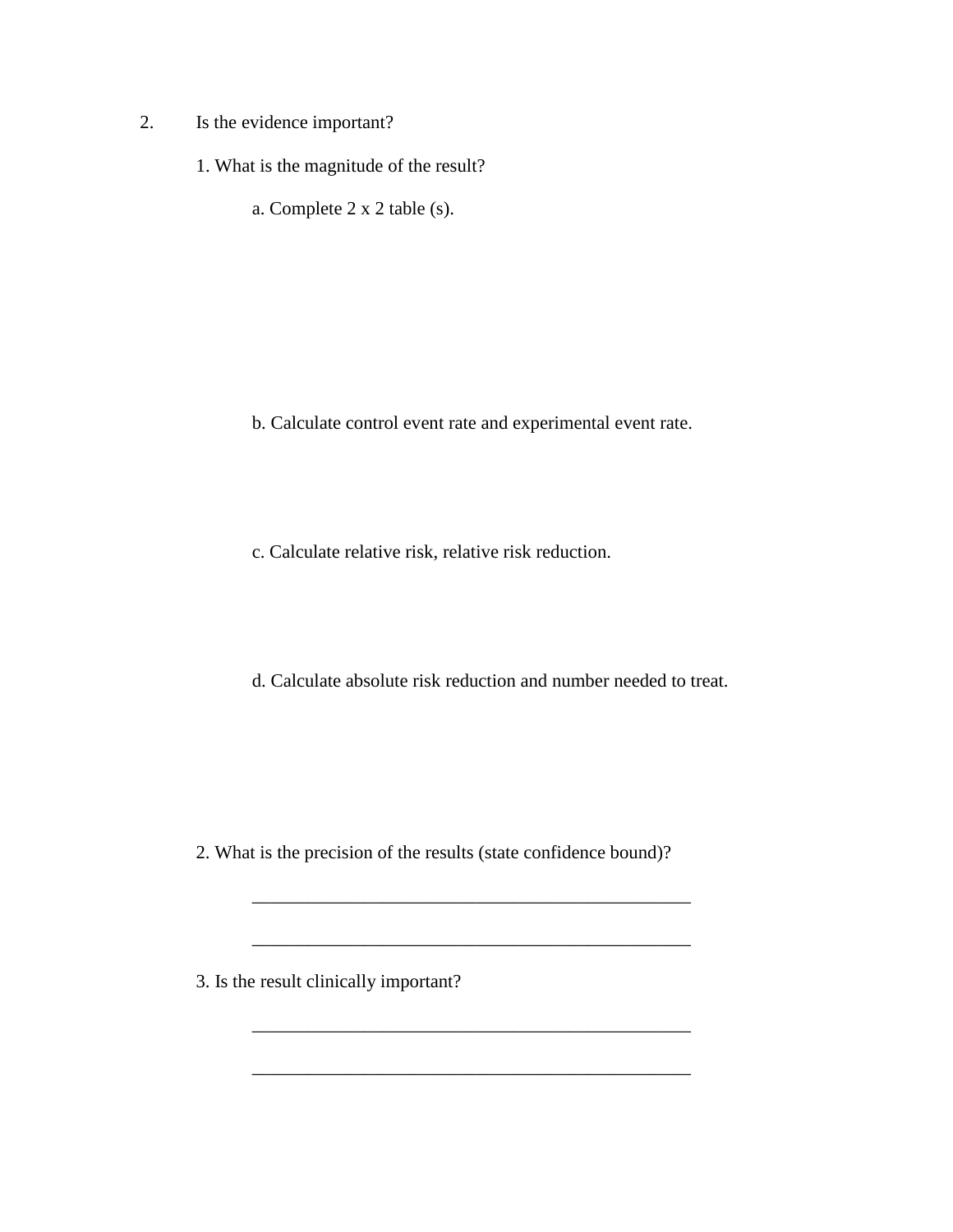- 2. Is the evidence important?
	- 1. What is the magnitude of the result?
		- a. Complete 2 x 2 table (s).

- b. Calculate control event rate and experimental event rate.
- c. Calculate relative risk, relative risk reduction.
- d. Calculate absolute risk reduction and number needed to treat.

2. What is the precision of the results (state confidence bound)?

\_\_\_\_\_\_\_\_\_\_\_\_\_\_\_\_\_\_\_\_\_\_\_\_\_\_\_\_\_\_\_\_\_\_\_\_\_\_\_\_\_\_\_\_\_\_\_

\_\_\_\_\_\_\_\_\_\_\_\_\_\_\_\_\_\_\_\_\_\_\_\_\_\_\_\_\_\_\_\_\_\_\_\_\_\_\_\_\_\_\_\_\_\_\_

\_\_\_\_\_\_\_\_\_\_\_\_\_\_\_\_\_\_\_\_\_\_\_\_\_\_\_\_\_\_\_\_\_\_\_\_\_\_\_\_\_\_\_\_\_\_\_

3. Is the result clinically important?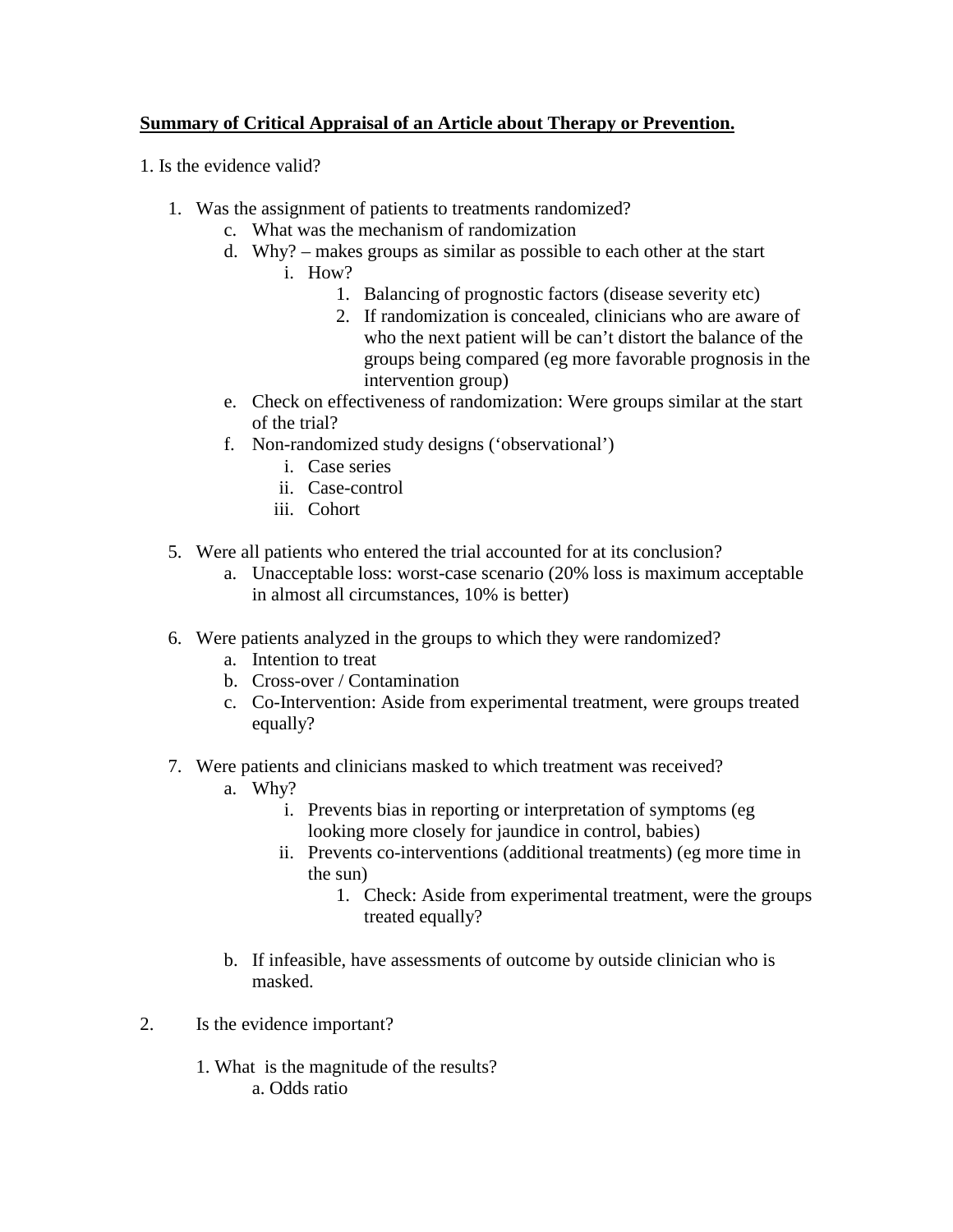# **Summary of Critical Appraisal of an Article about Therapy or Prevention.**

- 1. Is the evidence valid?
	- 1. Was the assignment of patients to treatments randomized?
		- c. What was the mechanism of randomization
		- d. Why? makes groups as similar as possible to each other at the start
			- i. How?
				- 1. Balancing of prognostic factors (disease severity etc)
				- 2. If randomization is concealed, clinicians who are aware of who the next patient will be can't distort the balance of the groups being compared (eg more favorable prognosis in the intervention group)
		- e. Check on effectiveness of randomization: Were groups similar at the start of the trial?
		- f. Non-randomized study designs ('observational')
			- i. Case series
			- ii. Case-control
			- iii. Cohort
	- 5. Were all patients who entered the trial accounted for at its conclusion?
		- a. Unacceptable loss: worst-case scenario (20% loss is maximum acceptable in almost all circumstances, 10% is better)
	- 6. Were patients analyzed in the groups to which they were randomized?
		- a. Intention to treat
		- b. Cross-over / Contamination
		- c. Co-Intervention: Aside from experimental treatment, were groups treated equally?
	- 7. Were patients and clinicians masked to which treatment was received?
		- a. Why?
			- i. Prevents bias in reporting or interpretation of symptoms (eg looking more closely for jaundice in control, babies)
			- ii. Prevents co-interventions (additional treatments) (eg more time in the sun)
				- 1. Check: Aside from experimental treatment, were the groups treated equally?
		- b. If infeasible, have assessments of outcome by outside clinician who is masked.
- 2. Is the evidence important?
	- 1. What is the magnitude of the results? a. Odds ratio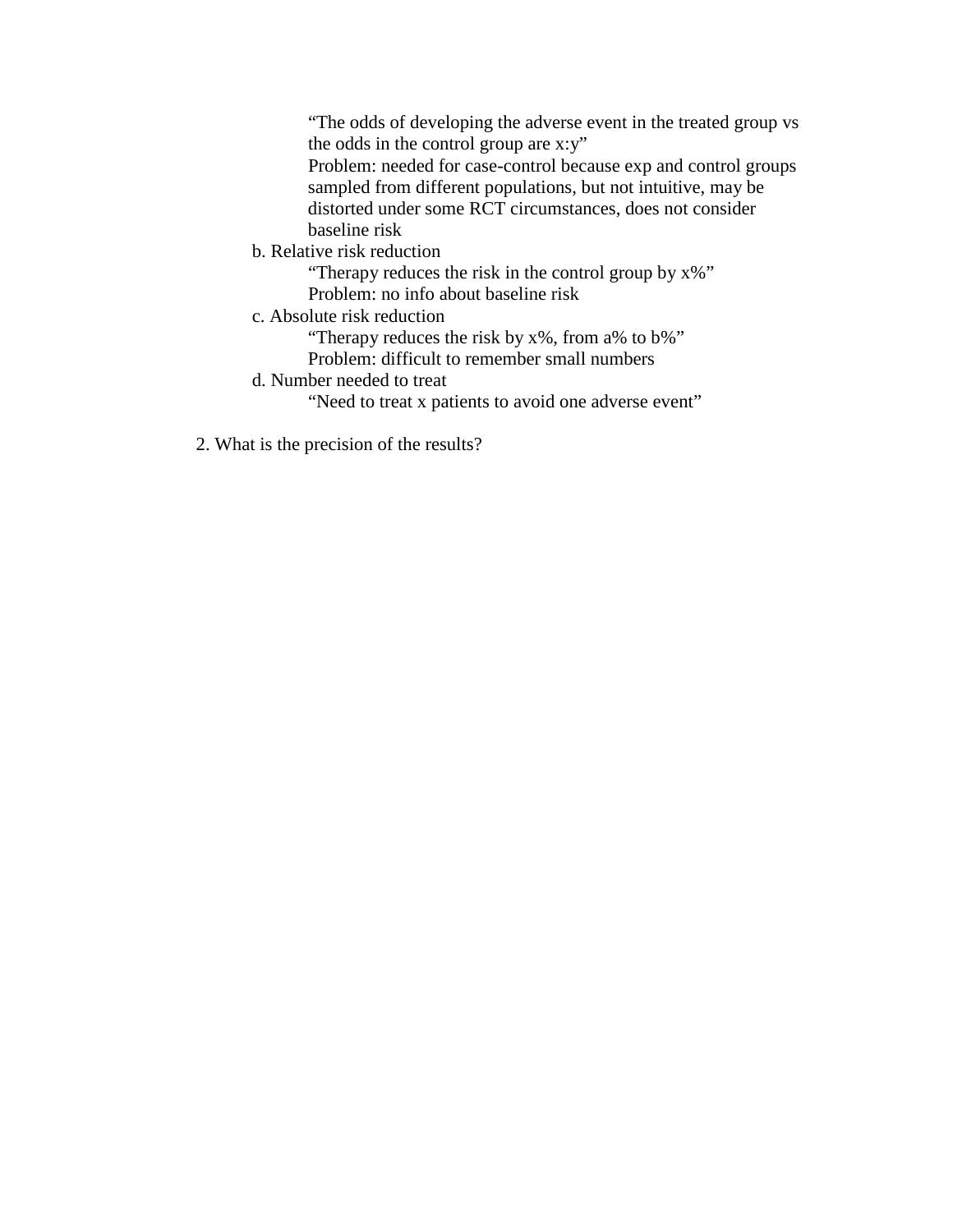"The odds of developing the adverse event in the treated group vs the odds in the control group are x:y"

Problem: needed for case-control because exp and control groups sampled from different populations, but not intuitive, may be distorted under some RCT circumstances, does not consider baseline risk

b. Relative risk reduction

"Therapy reduces the risk in the control group by x%" Problem: no info about baseline risk

c. Absolute risk reduction

"Therapy reduces the risk by x%, from a% to b%"

Problem: difficult to remember small numbers

d. Number needed to treat

"Need to treat x patients to avoid one adverse event"

2. What is the precision of the results?